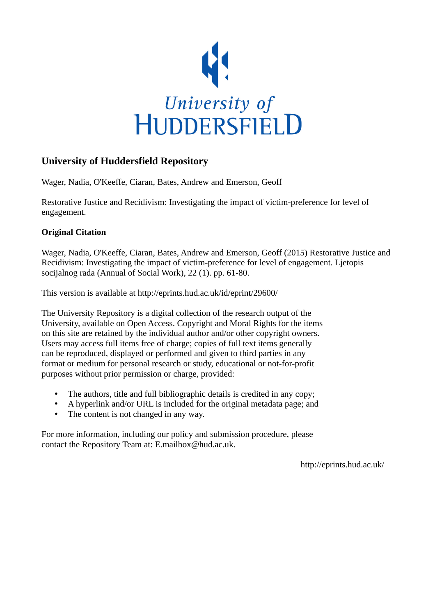

# **University of Huddersfield Repository**

Wager, Nadia, O'Keeffe, Ciaran, Bates, Andrew and Emerson, Geoff

Restorative Justice and Recidivism: Investigating the impact of victim-preference for level of engagement.

### **Original Citation**

Wager, Nadia, O'Keeffe, Ciaran, Bates, Andrew and Emerson, Geoff (2015) Restorative Justice and Recidivism: Investigating the impact of victim-preference for level of engagement. Ljetopis socijalnog rada (Annual of Social Work), 22 (1). pp. 61-80.

This version is available at http://eprints.hud.ac.uk/id/eprint/29600/

The University Repository is a digital collection of the research output of the University, available on Open Access. Copyright and Moral Rights for the items on this site are retained by the individual author and/or other copyright owners. Users may access full items free of charge; copies of full text items generally can be reproduced, displayed or performed and given to third parties in any format or medium for personal research or study, educational or not-for-profit purposes without prior permission or charge, provided:

- The authors, title and full bibliographic details is credited in any copy;
- A hyperlink and/or URL is included for the original metadata page; and
- The content is not changed in any way.

For more information, including our policy and submission procedure, please contact the Repository Team at: E.mailbox@hud.ac.uk.

http://eprints.hud.ac.uk/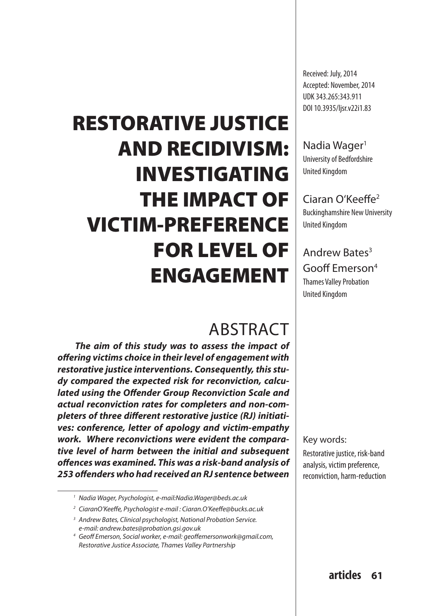# RESTORATIVE JUSTICE AND RECIDIVISM: INVESTIGATING THE IMPACT OF VICTIM-PREFERENCE FOR LEVEL OF ENGAGEMENT

# **ABSTRACT**

*The aim of this study was to assess the impact of offering victims choice in their level of engagement with restorative justice interventions. Consequently, this study compared the expected risk for reconviction, calculated using the Offender Group Reconviction Scale and actual reconviction rates for completers and non-completers of three different restorative justice (RJ) initiatives: conference, letter of apology and victim-empathy work. Where reconvictions were evident the comparative level of harm between the initial and subsequent offences was examined. This was a risk-band analysis of 253 offenders who had received an RJ sentence between* 

Received: July, 2014 Accepted: November, 2014 UDK 343.265:343.911 DOI 10.3935/ljsr.v22i1.83

Nadia Wager<sup>1</sup> University of Bedfordshire United Kingdom

### Ciaran O'Keeffe2

Buckinghamshire New University United Kingdom

# Andrew Bates3 Gooff Emerson4

Thames Valley Probation United Kingdom

Key words:

Restorative justice, risk-band analysis, victim preference, reconviction, harm-reduction

*<sup>1</sup> Nadia Wager, Psychologist, e-mail:Nadia.Wager@beds.ac.uk*

*<sup>2</sup> CiaranO'Keeffe, Psychologist e-mail : Ciaran.O'Keeffe@bucks.ac.uk*

*<sup>3</sup> Andrew Bates, Clinical psychologist, National Probation Service. e-mail: andrew.bates@probation.gsi.gov.uk*

*<sup>4</sup> Geoff Emerson, Social worker, e-mail: geoffemersonwork@gmail.com, Restorative Justice Associate, Thames Valley Partnership*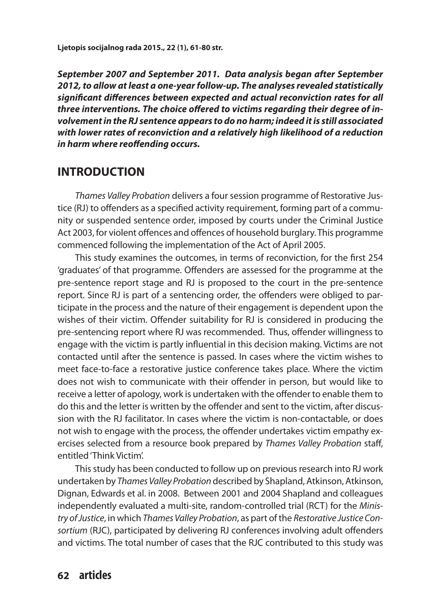*September 2007 and September 2011. Data analysis began after September 2012, to allow at least a one-year follow-up. The analyses revealed statistically significant differences between expected and actual reconviction rates for all three interventions. The choice offered to victims regarding their degree of involvement in the RJ sentence appears to do no harm; indeed it is still associated with lower rates of reconviction and a relatively high likelihood of a reduction in harm where reoffending occurs.*

### **INTRODUCTION**

*Thames Valley Probation* delivers a four session programme of Restorative Justice (RJ) to offenders as a specified activity requirement, forming part of a community or suspended sentence order, imposed by courts under the Criminal Justice Act 2003, for violent offences and offences of household burglary. This programme commenced following the implementation of the Act of April 2005.

This study examines the outcomes, in terms of reconviction, for the first 254 'graduates' of that programme. Offenders are assessed for the programme at the pre-sentence report stage and RJ is proposed to the court in the pre-sentence report. Since RJ is part of a sentencing order, the offenders were obliged to participate in the process and the nature of their engagement is dependent upon the wishes of their victim. Offender suitability for RJ is considered in producing the pre-sentencing report where RJ was recommended. Thus, offender willingness to engage with the victim is partly influential in this decision making. Victims are not contacted until after the sentence is passed. In cases where the victim wishes to meet face-to-face a restorative justice conference takes place. Where the victim does not wish to communicate with their offender in person, but would like to receive a letter of apology, work is undertaken with the offender to enable them to do this and the letter is written by the offender and sent to the victim, after discussion with the RJ facilitator. In cases where the victim is non-contactable, or does not wish to engage with the process, the offender undertakes victim empathy exercises selected from a resource book prepared by *Thames Valley Probation* staff, entitled 'Think Victim'.

This study has been conducted to follow up on previous research into RJ work undertaken by *Thames Valley Probation* described by Shapland, Atkinson, Atkinson, Dignan, Edwards et al. in 2008. Between 2001 and 2004 Shapland and colleagues independently evaluated a multi-site, random-controlled trial (RCT) for the *Ministry of Justice*, in which *Thames Valley Probation*, as part of the *Restorative Justice Consortium* (RJC), participated by delivering RJ conferences involving adult offenders and victims. The total number of cases that the RJC contributed to this study was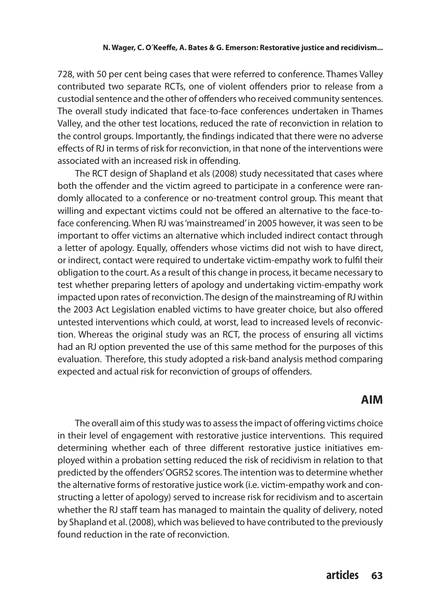728, with 50 per cent being cases that were referred to conference. Thames Valley contributed two separate RCTs, one of violent offenders prior to release from a custodial sentence and the other of offenders who received community sentences. The overall study indicated that face-to-face conferences undertaken in Thames Valley, and the other test locations, reduced the rate of reconviction in relation to the control groups. Importantly, the findings indicated that there were no adverse effects of RJ in terms of risk for reconviction, in that none of the interventions were associated with an increased risk in offending.

The RCT design of Shapland et als (2008) study necessitated that cases where both the offender and the victim agreed to participate in a conference were randomly allocated to a conference or no-treatment control group. This meant that willing and expectant victims could not be offered an alternative to the face-toface conferencing. When RJ was 'mainstreamed' in 2005 however, it was seen to be important to offer victims an alternative which included indirect contact through a letter of apology. Equally, offenders whose victims did not wish to have direct, or indirect, contact were required to undertake victim-empathy work to fulfil their obligation to the court. As a result of this change in process, it became necessary to test whether preparing letters of apology and undertaking victim-empathy work impacted upon rates of reconviction. The design of the mainstreaming of RJ within the 2003 Act Legislation enabled victims to have greater choice, but also offered untested interventions which could, at worst, lead to increased levels of reconviction. Whereas the original study was an RCT, the process of ensuring all victims had an RJ option prevented the use of this same method for the purposes of this evaluation. Therefore, this study adopted a risk-band analysis method comparing expected and actual risk for reconviction of groups of offenders.

### **AIM**

The overall aim of this study was to assess the impact of offering victims choice in their level of engagement with restorative justice interventions. This required determining whether each of three different restorative justice initiatives employed within a probation setting reduced the risk of recidivism in relation to that predicted by the offenders' OGRS2 scores. The intention was to determine whether the alternative forms of restorative justice work (i.e. victim-empathy work and constructing a letter of apology) served to increase risk for recidivism and to ascertain whether the RJ staff team has managed to maintain the quality of delivery, noted by Shapland et al. (2008), which was believed to have contributed to the previously found reduction in the rate of reconviction.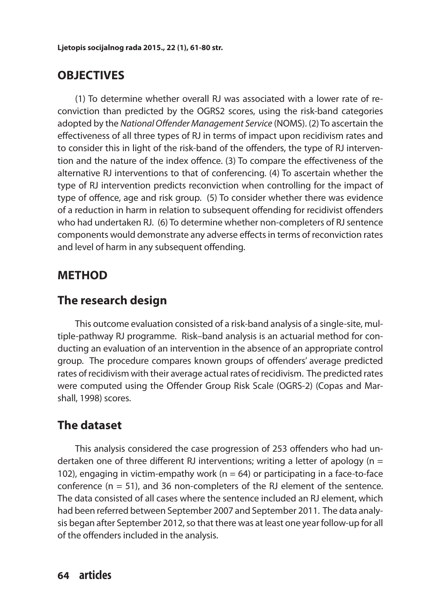# **OBJECTIVES**

(1) To determine whether overall RJ was associated with a lower rate of reconviction than predicted by the OGRS2 scores, using the risk-band categories adopted by the *National Offender Management Service* (NOMS). (2) To ascertain the effectiveness of all three types of RJ in terms of impact upon recidivism rates and to consider this in light of the risk-band of the offenders, the type of RJ intervention and the nature of the index offence. (3) To compare the effectiveness of the alternative RJ interventions to that of conferencing. (4) To ascertain whether the type of RJ intervention predicts reconviction when controlling for the impact of type of offence, age and risk group. (5) To consider whether there was evidence of a reduction in harm in relation to subsequent offending for recidivist offenders who had undertaken RJ. (6) To determine whether non-completers of RJ sentence components would demonstrate any adverse effects in terms of reconviction rates and level of harm in any subsequent offending.

# **METHOD**

### **The research design**

This outcome evaluation consisted of a risk-band analysis of a single-site, multiple-pathway RJ programme. Risk–band analysis is an actuarial method for conducting an evaluation of an intervention in the absence of an appropriate control group. The procedure compares known groups of offenders' average predicted rates of recidivism with their average actual rates of recidivism. The predicted rates were computed using the Offender Group Risk Scale (OGRS-2) (Copas and Marshall, 1998) scores.

# **The dataset**

This analysis considered the case progression of 253 offenders who had undertaken one of three different RJ interventions; writing a letter of apology ( $n =$ 102), engaging in victim-empathy work ( $n = 64$ ) or participating in a face-to-face conference  $(n = 51)$ , and 36 non-completers of the RJ element of the sentence. The data consisted of all cases where the sentence included an RJ element, which had been referred between September 2007 and September 2011. The data analysis began after September 2012, so that there was at least one year follow-up for all of the offenders included in the analysis.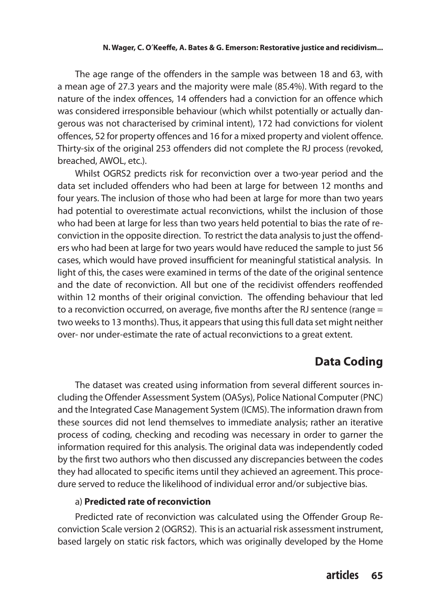The age range of the offenders in the sample was between 18 and 63, with a mean age of 27.3 years and the majority were male (85.4%). With regard to the nature of the index offences, 14 offenders had a conviction for an offence which was considered irresponsible behaviour (which whilst potentially or actually dangerous was not characterised by criminal intent), 172 had convictions for violent offences, 52 for property offences and 16 for a mixed property and violent offence. Thirty-six of the original 253 offenders did not complete the RJ process (revoked, breached, AWOL, etc.).

Whilst OGRS2 predicts risk for reconviction over a two-year period and the data set included offenders who had been at large for between 12 months and four years. The inclusion of those who had been at large for more than two years had potential to overestimate actual reconvictions, whilst the inclusion of those who had been at large for less than two years held potential to bias the rate of reconviction in the opposite direction. To restrict the data analysis to just the offenders who had been at large for two years would have reduced the sample to just 56 cases, which would have proved insufficient for meaningful statistical analysis. In light of this, the cases were examined in terms of the date of the original sentence and the date of reconviction. All but one of the recidivist offenders reoffended within 12 months of their original conviction. The offending behaviour that led to a reconviction occurred, on average, five months after the RJ sentence (range = two weeks to 13 months). Thus, it appears that using this full data set might neither over- nor under-estimate the rate of actual reconvictions to a great extent.

### **Data Coding**

The dataset was created using information from several different sources including the Offender Assessment System (OASys), Police National Computer (PNC) and the Integrated Case Management System (ICMS). The information drawn from these sources did not lend themselves to immediate analysis; rather an iterative process of coding, checking and recoding was necessary in order to garner the information required for this analysis. The original data was independently coded by the first two authors who then discussed any discrepancies between the codes they had allocated to specific items until they achieved an agreement. This procedure served to reduce the likelihood of individual error and/or subjective bias.

### a) **Predicted rate of reconviction**

Predicted rate of reconviction was calculated using the Offender Group Reconviction Scale version 2 (OGRS2). This is an actuarial risk assessment instrument, based largely on static risk factors, which was originally developed by the Home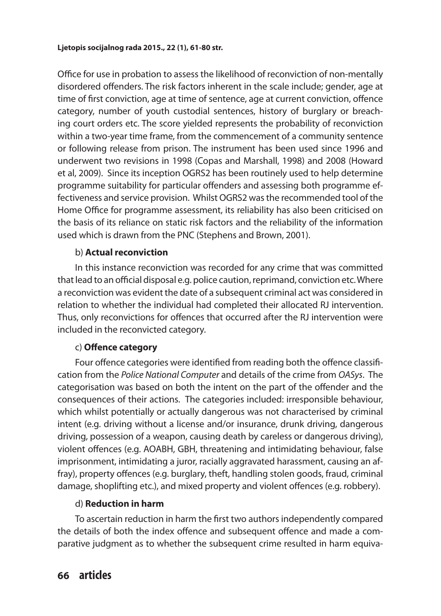Office for use in probation to assess the likelihood of reconviction of non-mentally disordered offenders. The risk factors inherent in the scale include; gender, age at time of first conviction, age at time of sentence, age at current conviction, offence category, number of youth custodial sentences, history of burglary or breaching court orders etc. The score yielded represents the probability of reconviction within a two-year time frame, from the commencement of a community sentence or following release from prison. The instrument has been used since 1996 and underwent two revisions in 1998 (Copas and Marshall, 1998) and 2008 (Howard et al, 2009). Since its inception OGRS2 has been routinely used to help determine programme suitability for particular offenders and assessing both programme effectiveness and service provision. Whilst OGRS2 was the recommended tool of the Home Office for programme assessment, its reliability has also been criticised on the basis of its reliance on static risk factors and the reliability of the information used which is drawn from the PNC (Stephens and Brown, 2001).

### b) **Actual reconviction**

In this instance reconviction was recorded for any crime that was committed that lead to an official disposal e.g. police caution, reprimand, conviction etc. Where a reconviction was evident the date of a subsequent criminal act was considered in relation to whether the individual had completed their allocated RJ intervention. Thus, only reconvictions for offences that occurred after the RJ intervention were included in the reconvicted category.

### c) **Offence category**

Four offence categories were identified from reading both the offence classification from the *Police National Computer* and details of the crime from *OASys*. The categorisation was based on both the intent on the part of the offender and the consequences of their actions. The categories included: irresponsible behaviour, which whilst potentially or actually dangerous was not characterised by criminal intent (e.g. driving without a license and/or insurance, drunk driving, dangerous driving, possession of a weapon, causing death by careless or dangerous driving), violent offences (e.g. AOABH, GBH, threatening and intimidating behaviour, false imprisonment, intimidating a juror, racially aggravated harassment, causing an affray), property offences (e.g. burglary, theft, handling stolen goods, fraud, criminal damage, shoplifting etc.), and mixed property and violent offences (e.g. robbery).

### d) **Reduction in harm**

To ascertain reduction in harm the first two authors independently compared the details of both the index offence and subsequent offence and made a comparative judgment as to whether the subsequent crime resulted in harm equiva-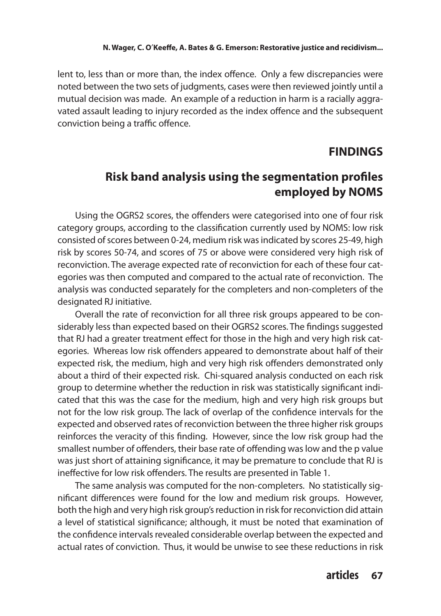lent to, less than or more than, the index offence. Only a few discrepancies were noted between the two sets of judgments, cases were then reviewed jointly until a mutual decision was made. An example of a reduction in harm is a racially aggravated assault leading to injury recorded as the index offence and the subsequent conviction being a traffic offence.

### **FINDINGS**

# **Risk band analysis using the segmentation profiles employed by NOMS**

Using the OGRS2 scores, the offenders were categorised into one of four risk category groups, according to the classification currently used by NOMS: low risk consisted of scores between 0-24, medium risk was indicated by scores 25-49, high risk by scores 50-74, and scores of 75 or above were considered very high risk of reconviction. The average expected rate of reconviction for each of these four categories was then computed and compared to the actual rate of reconviction. The analysis was conducted separately for the completers and non-completers of the designated RJ initiative.

Overall the rate of reconviction for all three risk groups appeared to be considerably less than expected based on their OGRS2 scores. The findings suggested that RJ had a greater treatment effect for those in the high and very high risk categories. Whereas low risk offenders appeared to demonstrate about half of their expected risk, the medium, high and very high risk offenders demonstrated only about a third of their expected risk. Chi-squared analysis conducted on each risk group to determine whether the reduction in risk was statistically significant indicated that this was the case for the medium, high and very high risk groups but not for the low risk group. The lack of overlap of the confidence intervals for the expected and observed rates of reconviction between the three higher risk groups reinforces the veracity of this finding. However, since the low risk group had the smallest number of offenders, their base rate of offending was low and the p value was just short of attaining significance, it may be premature to conclude that RJ is ineffective for low risk offenders. The results are presented in Table 1.

The same analysis was computed for the non-completers. No statistically significant differences were found for the low and medium risk groups. However, both the high and very high risk group's reduction in risk for reconviction did attain a level of statistical significance; although, it must be noted that examination of the confidence intervals revealed considerable overlap between the expected and actual rates of conviction. Thus, it would be unwise to see these reductions in risk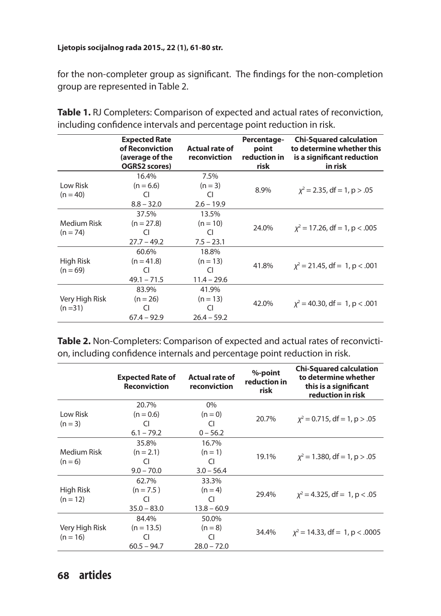for the non-completer group as significant. The findings for the non-completion group are represented in Table 2.

|                | <b>Expected Rate</b><br>of Reconviction<br>(average of the<br><b>OGRS2 scores)</b> | <b>Actual rate of</b><br>reconviction | Percentage-<br>point<br>reduction in<br>risk | <b>Chi-Squared calculation</b><br>to determine whether this<br>is a significant reduction<br>in risk |
|----------------|------------------------------------------------------------------------------------|---------------------------------------|----------------------------------------------|------------------------------------------------------------------------------------------------------|
|                | 16.4%                                                                              | 7.5%                                  |                                              |                                                                                                      |
| Low Risk       | $(n = 6.6)$                                                                        | $(n = 3)$                             | 8.9%                                         | $x^2 = 2.35$ , df = 1, p > .05                                                                       |
| $(n = 40)$     | CI.                                                                                | CI                                    |                                              |                                                                                                      |
|                | $8.8 - 32.0$                                                                       | $2.6 - 19.9$                          |                                              |                                                                                                      |
|                | 37.5%                                                                              | 13.5%                                 |                                              |                                                                                                      |
| Medium Risk    | $(n = 27.8)$                                                                       | $(n = 10)$                            |                                              |                                                                                                      |
| $(n = 74)$     | CI                                                                                 | CI                                    | 24.0%                                        | $x^2 = 17.26$ , df = 1, p < .005                                                                     |
|                | $27.7 - 49.2$                                                                      | $7.5 - 23.1$                          |                                              |                                                                                                      |
|                | 60.6%                                                                              | 18.8%                                 |                                              |                                                                                                      |
| High Risk      | $(n = 41.8)$                                                                       | $(n = 13)$                            |                                              |                                                                                                      |
| $(n = 69)$     | CI.                                                                                | CI                                    | 41.8%                                        | $x^2 = 21.45$ , df = 1, p < .001                                                                     |
|                | $49.1 - 71.5$                                                                      | $11.4 - 29.6$                         |                                              |                                                                                                      |
|                | 83.9%                                                                              | 41.9%                                 |                                              |                                                                                                      |
| Very High Risk | $(n = 26)$                                                                         | $(n = 13)$                            |                                              |                                                                                                      |
| $(n=31)$       | CI                                                                                 | CI                                    | 42.0%                                        | $x^2 = 40.30$ , df = 1, p < .001                                                                     |
|                | $67.4 - 92.9$                                                                      | $26.4 - 59.2$                         |                                              |                                                                                                      |

**Table 1.** RJ Completers: Comparison of expected and actual rates of reconviction, including confidence intervals and percentage point reduction in risk.

**Table 2.** Non-Completers: Comparison of expected and actual rates of reconviction, including confidence internals and percentage point reduction in risk.

|                | <b>Expected Rate of</b><br><b>Reconviction</b> | <b>Actual rate of</b><br>reconviction | %-point<br>reduction in<br>risk | <b>Chi-Squared calculation</b><br>to determine whether<br>this is a significant<br>reduction in risk |
|----------------|------------------------------------------------|---------------------------------------|---------------------------------|------------------------------------------------------------------------------------------------------|
|                | 20.7%                                          | $0\%$                                 |                                 |                                                                                                      |
| Low Risk       | $(n = 0.6)$                                    | $(n=0)$                               | 20.7%                           | $x^2 = 0.715$ , df = 1, p > .05                                                                      |
| $(n = 3)$      | CI                                             | CI                                    |                                 |                                                                                                      |
|                | $6.1 - 79.2$                                   | $0 - 56.2$                            |                                 |                                                                                                      |
|                | 35.8%                                          | 16.7%                                 |                                 |                                                                                                      |
| Medium Risk    | $(n = 2.1)$                                    | $(n = 1)$                             |                                 |                                                                                                      |
| $(n = 6)$      | CI.                                            | 19.1%<br>CI.                          |                                 | $x^2 = 1.380$ , df = 1, p > .05                                                                      |
|                | $9.0 - 70.0$                                   | $3.0 - 56.4$                          |                                 |                                                                                                      |
|                | 62.7%                                          | 33.3%                                 |                                 |                                                                                                      |
| High Risk      | $(n = 7.5)$                                    | $(n = 4)$                             |                                 |                                                                                                      |
| $(n = 12)$     | CI.                                            | CI                                    | 29.4%                           | $x^2 = 4.325$ , df = 1, p < .05                                                                      |
|                | $35.0 - 83.0$                                  | $13.8 - 60.9$                         |                                 |                                                                                                      |
|                | 84.4%                                          | 50.0%                                 |                                 |                                                                                                      |
| Very High Risk | $(n = 13.5)$                                   | $(n = 8)$                             |                                 |                                                                                                      |
| $(n = 16)$     | CI                                             | CI                                    | 34.4%                           | $x^2 = 14.33$ , df = 1, p < 0005                                                                     |
|                | $60.5 - 94.7$                                  | $28.0 - 72.0$                         |                                 |                                                                                                      |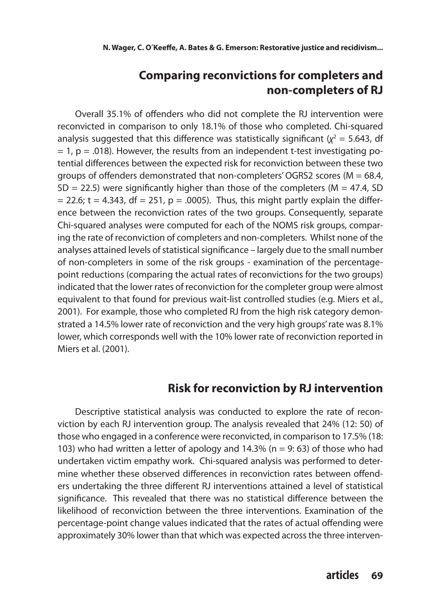# **Comparing reconvictions for completers and non-completers of RJ**

Overall 35.1% of offenders who did not complete the RJ intervention were reconvicted in comparison to only 18.1% of those who completed. Chi-squared analysis suggested that this difference was statistically significant  $(\chi^2 = 5.643, d\text{f})$  $= 1$ ,  $p = .018$ ). However, the results from an independent t-test investigating potential differences between the expected risk for reconviction between these two groups of offenders demonstrated that non-completers' OGRS2 scores ( $M = 68.4$ ,  $SD = 22.5$ ) were significantly higher than those of the completers (M = 47.4, SD  $= 22.6$ ; t = 4.343, df = 251, p = .0005). Thus, this might partly explain the difference between the reconviction rates of the two groups. Consequently, separate Chi-squared analyses were computed for each of the NOMS risk groups, comparing the rate of reconviction of completers and non-completers. Whilst none of the analyses attained levels of statistical significance – largely due to the small number of non-completers in some of the risk groups - examination of the percentagepoint reductions (comparing the actual rates of reconvictions for the two groups) indicated that the lower rates of reconviction for the completer group were almost equivalent to that found for previous wait-list controlled studies (e.g. Miers et al., 2001). For example, those who completed RJ from the high risk category demonstrated a 14.5% lower rate of reconviction and the very high groups' rate was 8.1% lower, which corresponds well with the 10% lower rate of reconviction reported in Miers et al. (2001).

### **Risk for reconviction by RJ intervention**

Descriptive statistical analysis was conducted to explore the rate of reconviction by each RJ intervention group. The analysis revealed that 24% (12: 50) of those who engaged in a conference were reconvicted, in comparison to 17.5% (18: 103) who had written a letter of apology and 14.3% ( $n = 9$ : 63) of those who had undertaken victim empathy work. Chi-squared analysis was performed to determine whether these observed differences in reconviction rates between offenders undertaking the three different RJ interventions attained a level of statistical significance. This revealed that there was no statistical difference between the likelihood of reconviction between the three interventions. Examination of the percentage-point change values indicated that the rates of actual offending were approximately 30% lower than that which was expected across the three interven-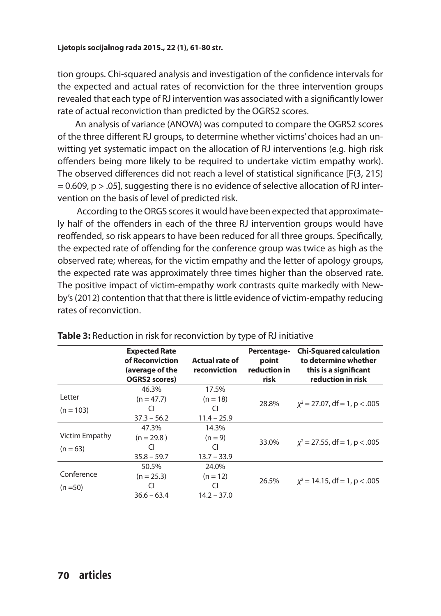tion groups. Chi-squared analysis and investigation of the confidence intervals for the expected and actual rates of reconviction for the three intervention groups revealed that each type of RJ intervention was associated with a significantly lower rate of actual reconviction than predicted by the OGRS2 scores.

An analysis of variance (ANOVA) was computed to compare the OGRS2 scores of the three different RJ groups, to determine whether victims' choices had an unwitting yet systematic impact on the allocation of RJ interventions (e.g. high risk offenders being more likely to be required to undertake victim empathy work). The observed differences did not reach a level of statistical significance [F(3, 215)  $= 0.609$ , p  $> 0.05$ ], suggesting there is no evidence of selective allocation of RJ intervention on the basis of level of predicted risk.

 According to the ORGS scores it would have been expected that approximately half of the offenders in each of the three RJ intervention groups would have reoffended, so risk appears to have been reduced for all three groups. Specifically, the expected rate of offending for the conference group was twice as high as the observed rate; whereas, for the victim empathy and the letter of apology groups, the expected rate was approximately three times higher than the observed rate. The positive impact of victim-empathy work contrasts quite markedly with Newby's (2012) contention that that there is little evidence of victim-empathy reducing rates of reconviction.

|                | <b>Expected Rate</b><br>of Reconviction<br>(average of the<br><b>OGRS2 scores)</b> | <b>Actual rate of</b><br>reconviction | Percentage-<br>point<br>reduction in<br>risk | <b>Chi-Squared calculation</b><br>to determine whether<br>this is a significant<br>reduction in risk |  |
|----------------|------------------------------------------------------------------------------------|---------------------------------------|----------------------------------------------|------------------------------------------------------------------------------------------------------|--|
|                | 46.3%                                                                              | 17.5%                                 |                                              |                                                                                                      |  |
| Letter         | $(n = 47.7)$                                                                       | $(n = 18)$                            | 28.8%                                        | $x^2 = 27.07$ , df = 1, p < .005                                                                     |  |
| $(n = 103)$    | CI                                                                                 | CI                                    |                                              |                                                                                                      |  |
|                | $37.3 - 56.2$                                                                      | $11.4 - 25.9$                         |                                              |                                                                                                      |  |
|                | 47.3%                                                                              | 14.3%                                 |                                              |                                                                                                      |  |
| Victim Empathy | $(n = 29.8)$                                                                       | $(n = 9)$                             | 33.0%                                        | $x^2 = 27.55$ , df = 1, p < .005                                                                     |  |
| $(n = 63)$     | CI                                                                                 | CI                                    |                                              |                                                                                                      |  |
|                | $35.8 - 59.7$                                                                      | $13.7 - 33.9$                         |                                              |                                                                                                      |  |
|                | 50.5%                                                                              | 24.0%                                 |                                              |                                                                                                      |  |
| Conference     | $(n = 25.3)$                                                                       | $(n = 12)$                            | 26.5%                                        | $x^2 = 14.15$ , df = 1, p < .005                                                                     |  |
| $(n = 50)$     | CI                                                                                 | CI                                    |                                              |                                                                                                      |  |
|                | $36.6 - 63.4$                                                                      | $14.2 - 37.0$                         |                                              |                                                                                                      |  |

| Table 3: Reduction in risk for reconviction by type of RJ initiative |  |  |  |  |
|----------------------------------------------------------------------|--|--|--|--|
|----------------------------------------------------------------------|--|--|--|--|

### **70 articles**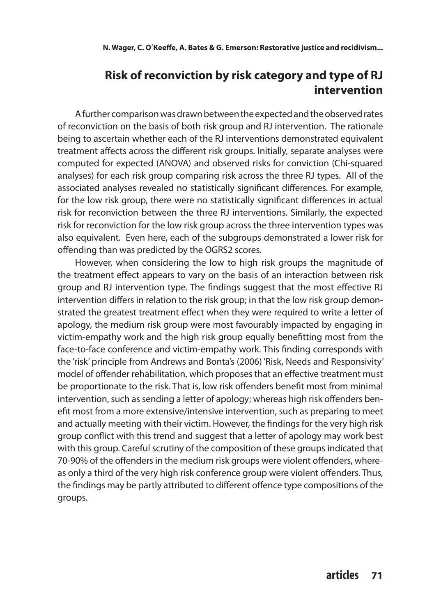# **Risk of reconviction by risk category and type of RJ intervention**

A further comparison was drawn between the expected and the observed rates of reconviction on the basis of both risk group and RJ intervention. The rationale being to ascertain whether each of the RJ interventions demonstrated equivalent treatment affects across the different risk groups. Initially, separate analyses were computed for expected (ANOVA) and observed risks for conviction (Chi-squared analyses) for each risk group comparing risk across the three RJ types. All of the associated analyses revealed no statistically significant differences. For example, for the low risk group, there were no statistically significant differences in actual risk for reconviction between the three RJ interventions. Similarly, the expected risk for reconviction for the low risk group across the three intervention types was also equivalent. Even here, each of the subgroups demonstrated a lower risk for offending than was predicted by the OGRS2 scores.

However, when considering the low to high risk groups the magnitude of the treatment effect appears to vary on the basis of an interaction between risk group and RJ intervention type. The findings suggest that the most effective RJ intervention differs in relation to the risk group; in that the low risk group demonstrated the greatest treatment effect when they were required to write a letter of apology, the medium risk group were most favourably impacted by engaging in victim-empathy work and the high risk group equally benefitting most from the face-to-face conference and victim-empathy work. This finding corresponds with the 'risk' principle from Andrews and Bonta's (2006) 'Risk, Needs and Responsivity' model of offender rehabilitation, which proposes that an effective treatment must be proportionate to the risk. That is, low risk offenders benefit most from minimal intervention, such as sending a letter of apology; whereas high risk offenders benefit most from a more extensive/intensive intervention, such as preparing to meet and actually meeting with their victim. However, the findings for the very high risk group conflict with this trend and suggest that a letter of apology may work best with this group. Careful scrutiny of the composition of these groups indicated that 70-90% of the offenders in the medium risk groups were violent offenders, whereas only a third of the very high risk conference group were violent offenders. Thus, the findings may be partly attributed to different offence type compositions of the groups.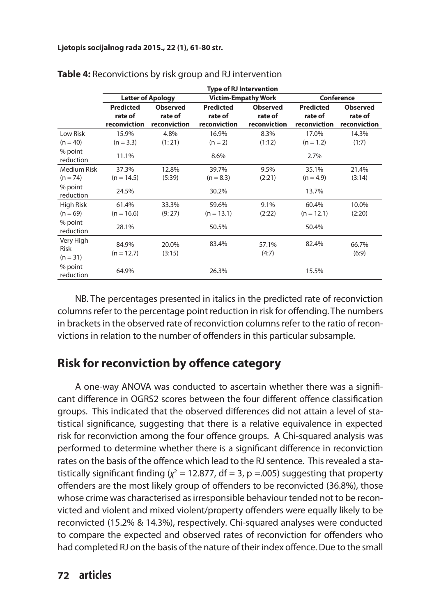|                                             | <b>Type of RJ Intervention</b>              |                                            |                                             |                                            |                                             |                                            |
|---------------------------------------------|---------------------------------------------|--------------------------------------------|---------------------------------------------|--------------------------------------------|---------------------------------------------|--------------------------------------------|
|                                             |                                             | <b>Letter of Apology</b>                   |                                             | <b>Victim-Empathy Work</b>                 | Conference                                  |                                            |
|                                             | <b>Predicted</b><br>rate of<br>reconviction | <b>Observed</b><br>rate of<br>reconviction | <b>Predicted</b><br>rate of<br>reconviction | <b>Observed</b><br>rate of<br>reconviction | <b>Predicted</b><br>rate of<br>reconviction | <b>Observed</b><br>rate of<br>reconviction |
| Low Risk<br>$(n = 40)$                      | 15.9%<br>$(n = 3.3)$                        | 4.8%<br>(1:21)                             | 16.9%<br>$(n = 2)$                          | 8.3%<br>(1:12)                             | 17.0%<br>$(n = 1.2)$                        | 14.3%<br>(1:7)                             |
| % point<br>reduction                        | 11.1%                                       |                                            | 8.6%                                        |                                            | 2.7%                                        |                                            |
| <b>Medium Risk</b><br>$(n = 74)$<br>% point | 37.3%<br>$(n = 14.5)$<br>24.5%              | 12.8%<br>(5:39)                            | 39.7%<br>$(n = 8.3)$<br>30.2%               | 9.5%<br>(2:21)                             | 35.1%<br>$(n = 4.9)$<br>13.7%               | 21.4%<br>(3:14)                            |
| reduction<br>High Risk<br>$(n = 69)$        | 61.4%<br>$(n = 16.6)$                       | 33.3%<br>(9:27)                            | 59.6%<br>$(n = 13.1)$                       | 9.1%<br>(2:22)                             | 60.4%<br>$(n = 12.1)$                       | 10.0%<br>(2:20)                            |
| % point<br>reduction                        | 28.1%                                       |                                            | 50.5%                                       |                                            | 50.4%                                       |                                            |
| Very High<br><b>Risk</b><br>$(n = 31)$      | 84.9%<br>$(n = 12.7)$                       | 20.0%<br>(3:15)                            | 83.4%                                       | 57.1%<br>(4:7)                             | 82.4%                                       | 66.7%<br>(6:9)                             |
| % point<br>reduction                        | 64.9%                                       |                                            | 26.3%                                       |                                            | 15.5%                                       |                                            |

NB. The percentages presented in italics in the predicted rate of reconviction columns refer to the percentage point reduction in risk for offending. The numbers in brackets in the observed rate of reconviction columns refer to the ratio of reconvictions in relation to the number of offenders in this particular subsample.

### **Risk for reconviction by offence category**

A one-way ANOVA was conducted to ascertain whether there was a significant difference in OGRS2 scores between the four different offence classification groups. This indicated that the observed differences did not attain a level of statistical significance, suggesting that there is a relative equivalence in expected risk for reconviction among the four offence groups. A Chi-squared analysis was performed to determine whether there is a significant difference in reconviction rates on the basis of the offence which lead to the RJ sentence. This revealed a statistically significant finding  $\chi^2$  = 12.877, df = 3, p =.005) suggesting that property offenders are the most likely group of offenders to be reconvicted (36.8%), those whose crime was characterised as irresponsible behaviour tended not to be reconvicted and violent and mixed violent/property offenders were equally likely to be reconvicted (15.2% & 14.3%), respectively. Chi-squared analyses were conducted to compare the expected and observed rates of reconviction for offenders who had completed RJ on the basis of the nature of their index offence. Due to the small

### **72 articles**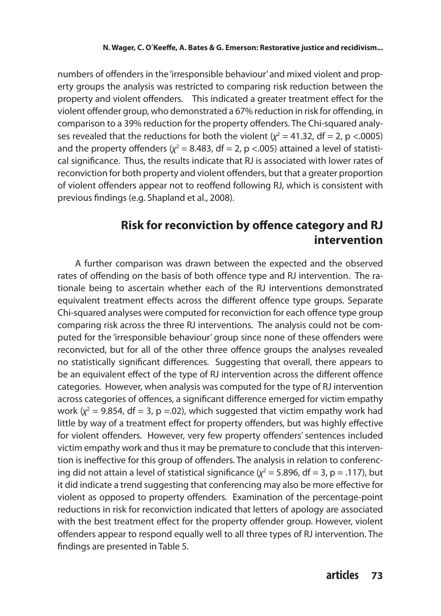numbers of offenders in the 'irresponsible behaviour' and mixed violent and property groups the analysis was restricted to comparing risk reduction between the property and violent offenders. This indicated a greater treatment effect for the violent offender group, who demonstrated a 67% reduction in risk for offending, in comparison to a 39% reduction for the property offenders. The Chi-squared analyses revealed that the reductions for both the violent  $(\chi^2 = 41.32, df = 2, p < .0005)$ and the property offenders ( $\chi^2$  = 8.483, df = 2, p <.005) attained a level of statistical significance. Thus, the results indicate that RJ is associated with lower rates of reconviction for both property and violent offenders, but that a greater proportion of violent offenders appear not to reoffend following RJ, which is consistent with previous findings (e.g. Shapland et al., 2008).

### **Risk for reconviction by offence category and RJ intervention**

A further comparison was drawn between the expected and the observed rates of offending on the basis of both offence type and RJ intervention. The rationale being to ascertain whether each of the RJ interventions demonstrated equivalent treatment effects across the different offence type groups. Separate Chi-squared analyses were computed for reconviction for each offence type group comparing risk across the three RJ interventions. The analysis could not be computed for the 'irresponsible behaviour' group since none of these offenders were reconvicted, but for all of the other three offence groups the analyses revealed no statistically significant differences. Suggesting that overall, there appears to be an equivalent effect of the type of RJ intervention across the different offence categories. However, when analysis was computed for the type of RJ intervention across categories of offences, a significant difference emerged for victim empathy work  $(x^2 = 9.854$ , df = 3, p =.02), which suggested that victim empathy work had little by way of a treatment effect for property offenders, but was highly effective for violent offenders. However, very few property offenders' sentences included victim empathy work and thus it may be premature to conclude that this intervention is ineffective for this group of offenders. The analysis in relation to conferencing did not attain a level of statistical significance ( $\chi^2$  = 5.896, df = 3, p = .117), but it did indicate a trend suggesting that conferencing may also be more effective for violent as opposed to property offenders. Examination of the percentage-point reductions in risk for reconviction indicated that letters of apology are associated with the best treatment effect for the property offender group. However, violent offenders appear to respond equally well to all three types of RJ intervention. The findings are presented in Table 5.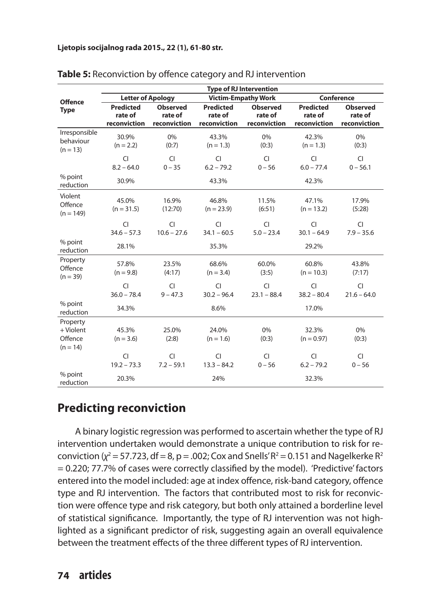|                                                | <b>Type of RJ Intervention</b>                         |                                            |                                             |                                            |                                             |                                            |
|------------------------------------------------|--------------------------------------------------------|--------------------------------------------|---------------------------------------------|--------------------------------------------|---------------------------------------------|--------------------------------------------|
| <b>Offence</b>                                 | <b>Victim-Empathy Work</b><br><b>Letter of Apology</b> |                                            |                                             |                                            | <b>Conference</b>                           |                                            |
| <b>Type</b>                                    | <b>Predicted</b><br>rate of<br>reconviction            | <b>Observed</b><br>rate of<br>reconviction | <b>Predicted</b><br>rate of<br>reconviction | <b>Observed</b><br>rate of<br>reconviction | <b>Predicted</b><br>rate of<br>reconviction | <b>Observed</b><br>rate of<br>reconviction |
| Irresponsible<br>behaviour<br>$(n = 13)$       | 30.9%<br>$(n = 2.2)$                                   | 0%<br>(0:7)                                | 43.3%<br>$(n = 1.3)$                        | 0%<br>(0:3)                                | 42.3%<br>$(n = 1.3)$                        | 0%<br>(0:3)                                |
|                                                | CI<br>$8.2 - 64.0$                                     | <b>CI</b><br>$0 - 35$                      | CI<br>$6.2 - 79.2$                          | <b>CI</b><br>$0 - 56$                      | <b>CI</b><br>$6.0 - 77.4$                   | <b>CI</b><br>$0 - 56.1$                    |
| % point<br>reduction                           | 30.9%                                                  |                                            | 43.3%                                       |                                            | 42.3%                                       |                                            |
| Violent<br>Offence<br>$(n = 149)$              | 45.0%<br>$(n = 31.5)$                                  | 16.9%<br>(12:70)                           | 46.8%<br>$(n = 23.9)$                       | 11.5%<br>(6:51)                            | 47.1%<br>$(n = 13.2)$                       | 17.9%<br>(5:28)                            |
|                                                | CI<br>$34.6 - 57.3$                                    | <b>CI</b><br>$10.6 - 27.6$                 | <b>CI</b><br>$34.1 - 60.5$                  | <b>CI</b><br>$5.0 - 23.4$                  | <b>CI</b><br>$30.1 - 64.9$                  | <b>CI</b><br>$7.9 - 35.6$                  |
| % point<br>reduction                           | 28.1%                                                  |                                            | 35.3%                                       |                                            | 29.2%                                       |                                            |
| Property<br>Offence<br>$(n = 39)$              | 57.8%<br>$(n = 9.8)$                                   | 23.5%<br>(4:17)                            | 68.6%<br>$(n = 3.4)$                        | 60.0%<br>(3:5)                             | 60.8%<br>$(n = 10.3)$                       | 43.8%<br>(7:17)                            |
|                                                | CI<br>$36.0 - 78.4$                                    | $\overline{C}$<br>$9 - 47.3$               | $\overline{C}$<br>$30.2 - 96.4$             | <b>CI</b><br>$23.1 - 88.4$                 | $\overline{C}$<br>$38.2 - 80.4$             | $\overline{C}$<br>$21.6 - 64.0$            |
| % point<br>reduction                           | 34.3%                                                  |                                            | 8.6%                                        |                                            | 17.0%                                       |                                            |
| Property<br>+ Violent<br>Offence<br>$(n = 14)$ | 45.3%<br>$(n = 3.6)$                                   | 25.0%<br>(2:8)                             | 24.0%<br>$(n = 1.6)$                        | 0%<br>(0:3)                                | 32.3%<br>$(n = 0.97)$                       | 0%<br>(0:3)                                |
|                                                | CI<br>$19.2 - 73.3$                                    | <b>CI</b><br>$7.2 - 59.1$                  | <b>CI</b><br>$13.3 - 84.2$                  | <b>CI</b><br>$0 - 56$                      | <b>CI</b><br>$6.2 - 79.2$                   | <b>CI</b><br>$0 - 56$                      |
| % point<br>reduction                           | 20.3%                                                  |                                            | 24%                                         |                                            | 32.3%                                       |                                            |

#### **Table 5:** Reconviction by offence category and RJ intervention

# **Predicting reconviction**

A binary logistic regression was performed to ascertain whether the type of RJ intervention undertaken would demonstrate a unique contribution to risk for reconviction ( $\chi^2$  = 57.723, df = 8, p = .002; Cox and Snells' R<sup>2</sup> = 0.151 and Nagelkerke R<sup>2</sup> = 0.220; 77.7% of cases were correctly classified by the model). 'Predictive' factors entered into the model included: age at index offence, risk-band category, offence type and RJ intervention. The factors that contributed most to risk for reconviction were offence type and risk category, but both only attained a borderline level of statistical significance. Importantly, the type of RJ intervention was not highlighted as a significant predictor of risk, suggesting again an overall equivalence between the treatment effects of the three different types of RJ intervention.

### **74 articles**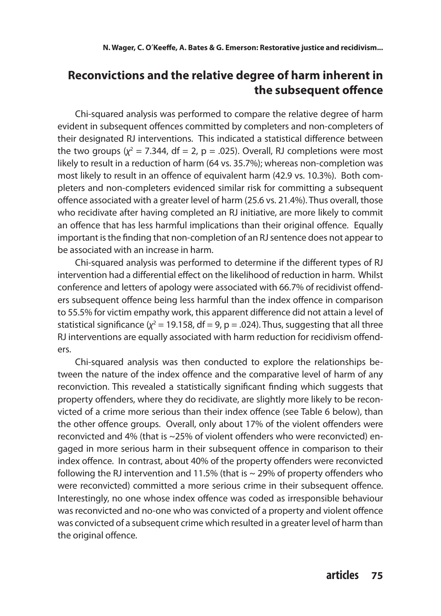# **Reconvictions and the relative degree of harm inherent in the subsequent offence**

Chi-squared analysis was performed to compare the relative degree of harm evident in subsequent offences committed by completers and non-completers of their designated RJ interventions. This indicated a statistical difference between the two groups  $(y^2 = 7.344$ , df = 2, p = .025). Overall, RJ completions were most likely to result in a reduction of harm (64 vs. 35.7%); whereas non-completion was most likely to result in an offence of equivalent harm (42.9 vs. 10.3%). Both completers and non-completers evidenced similar risk for committing a subsequent offence associated with a greater level of harm (25.6 vs. 21.4%). Thus overall, those who recidivate after having completed an RJ initiative, are more likely to commit an offence that has less harmful implications than their original offence. Equally important is the finding that non-completion of an RJ sentence does not appear to be associated with an increase in harm.

Chi-squared analysis was performed to determine if the different types of RJ intervention had a differential effect on the likelihood of reduction in harm. Whilst conference and letters of apology were associated with 66.7% of recidivist offenders subsequent offence being less harmful than the index offence in comparison to 55.5% for victim empathy work, this apparent difference did not attain a level of statistical significance ( $\chi^2$  = 19.158, df = 9, p = .024). Thus, suggesting that all three RJ interventions are equally associated with harm reduction for recidivism offenders.

Chi-squared analysis was then conducted to explore the relationships between the nature of the index offence and the comparative level of harm of any reconviction. This revealed a statistically significant finding which suggests that property offenders, where they do recidivate, are slightly more likely to be reconvicted of a crime more serious than their index offence (see Table 6 below), than the other offence groups. Overall, only about 17% of the violent offenders were reconvicted and 4% (that is ~25% of violent offenders who were reconvicted) engaged in more serious harm in their subsequent offence in comparison to their index offence. In contrast, about 40% of the property offenders were reconvicted following the RJ intervention and 11.5% (that is  $\sim$  29% of property offenders who were reconvicted) committed a more serious crime in their subsequent offence. Interestingly, no one whose index offence was coded as irresponsible behaviour was reconvicted and no-one who was convicted of a property and violent offence was convicted of a subsequent crime which resulted in a greater level of harm than the original offence.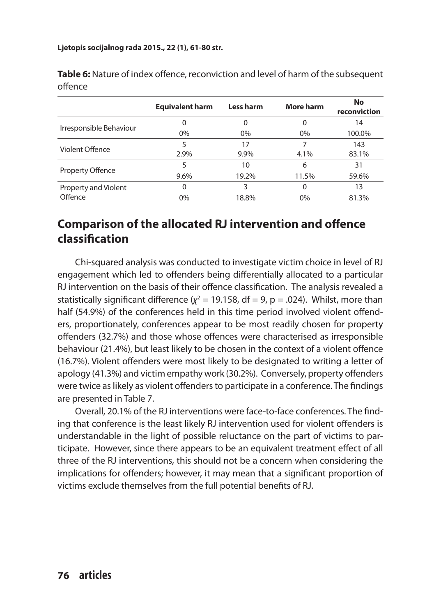|                         | <b>Equivalent harm</b> | Less harm | More harm | <b>No</b><br>reconviction |
|-------------------------|------------------------|-----------|-----------|---------------------------|
|                         | 0                      |           | 0         | 14                        |
| Irresponsible Behaviour | $0\%$                  | $0\%$     | $0\%$     | 100.0%                    |
| Violent Offence         | 5                      | 17        |           | 143                       |
|                         | 2.9%                   | 9.9%      | 4.1%      | 83.1%                     |
| Property Offence        |                        | 10        | 6         | 31                        |
|                         | 9.6%                   | 19.2%     | 11.5%     | 59.6%                     |
| Property and Violent    | 0                      | 3         | 0         | 13                        |
| Offence                 | 0%                     | 18.8%     | 0%        | 81.3%                     |

**Table 6:** Nature of index offence, reconviction and level of harm of the subsequent offence

# **Comparison of the allocated RJ intervention and offence classification**

Chi-squared analysis was conducted to investigate victim choice in level of RJ engagement which led to offenders being differentially allocated to a particular RJ intervention on the basis of their offence classification. The analysis revealed a statistically significant difference ( $\chi^2$  = 19.158, df = 9, p = .024). Whilst, more than half (54.9%) of the conferences held in this time period involved violent offenders, proportionately, conferences appear to be most readily chosen for property offenders (32.7%) and those whose offences were characterised as irresponsible behaviour (21.4%), but least likely to be chosen in the context of a violent offence (16.7%). Violent offenders were most likely to be designated to writing a letter of apology (41.3%) and victim empathy work (30.2%). Conversely, property offenders were twice as likely as violent offenders to participate in a conference. The findings are presented in Table 7.

Overall, 20.1% of the RJ interventions were face-to-face conferences. The finding that conference is the least likely RJ intervention used for violent offenders is understandable in the light of possible reluctance on the part of victims to participate. However, since there appears to be an equivalent treatment effect of all three of the RJ interventions, this should not be a concern when considering the implications for offenders; however, it may mean that a significant proportion of victims exclude themselves from the full potential benefits of RJ.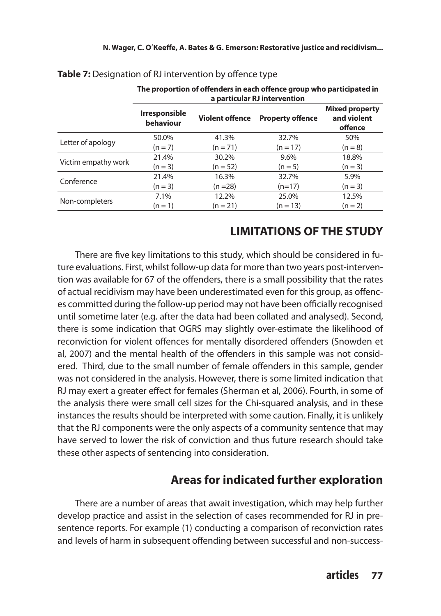|                     | The proportion of offenders in each offence group who participated in<br>a particular RJ intervention |                        |                         |                                                 |  |
|---------------------|-------------------------------------------------------------------------------------------------------|------------------------|-------------------------|-------------------------------------------------|--|
|                     | <b>Irresponsible</b><br>behaviour                                                                     | <b>Violent offence</b> | <b>Property offence</b> | <b>Mixed property</b><br>and violent<br>offence |  |
| Letter of apology   | 50.0%                                                                                                 | 41.3%                  | 32.7%                   | 50%                                             |  |
|                     | $(n = 7)$                                                                                             | $(n = 71)$             | $(n = 17)$              | $(n = 8)$                                       |  |
| Victim empathy work | 21.4%                                                                                                 | 30.2%                  | $9.6\%$                 | 18.8%                                           |  |
|                     | $(n = 3)$                                                                                             | $(n = 52)$             | $(n = 5)$               | $(n = 3)$                                       |  |
| Conference          | 21.4%                                                                                                 | 16.3%                  | 32.7%                   | 5.9%                                            |  |
|                     | $(n = 3)$                                                                                             | $(n = 28)$             | $(n=17)$                | $(n = 3)$                                       |  |
|                     | 7.1%                                                                                                  | 12.2%                  | 25.0%                   | 12.5%                                           |  |
| Non-completers      | $(n = 1)$                                                                                             | $(n = 21)$             | $(n = 13)$              | $(n = 2)$                                       |  |

| Table 7: Designation of RJ intervention by offence type |  |
|---------------------------------------------------------|--|
|                                                         |  |

# **LIMITATIONS OF THE STUDY**

There are five key limitations to this study, which should be considered in future evaluations. First, whilst follow-up data for more than two years post-intervention was available for 67 of the offenders, there is a small possibility that the rates of actual recidivism may have been underestimated even for this group, as offences committed during the follow-up period may not have been officially recognised until sometime later (e.g. after the data had been collated and analysed). Second, there is some indication that OGRS may slightly over-estimate the likelihood of reconviction for violent offences for mentally disordered offenders (Snowden et al, 2007) and the mental health of the offenders in this sample was not considered. Third, due to the small number of female offenders in this sample, gender was not considered in the analysis. However, there is some limited indication that RJ may exert a greater effect for females (Sherman et al, 2006). Fourth, in some of the analysis there were small cell sizes for the Chi-squared analysis, and in these instances the results should be interpreted with some caution. Finally, it is unlikely that the RJ components were the only aspects of a community sentence that may have served to lower the risk of conviction and thus future research should take these other aspects of sentencing into consideration.

# **Areas for indicated further exploration**

There are a number of areas that await investigation, which may help further develop practice and assist in the selection of cases recommended for RJ in presentence reports. For example (1) conducting a comparison of reconviction rates and levels of harm in subsequent offending between successful and non-success-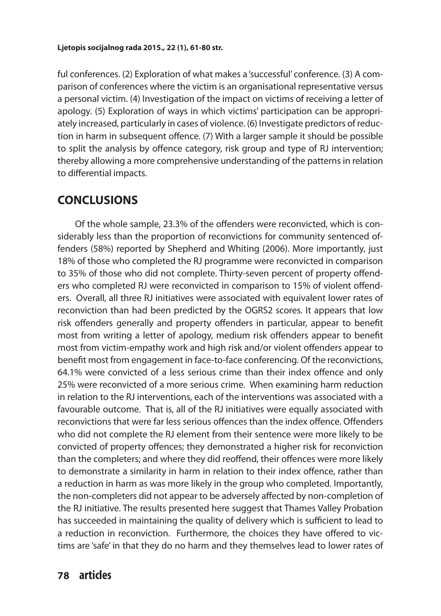ful conferences. (2) Exploration of what makes a 'successful' conference. (3) A comparison of conferences where the victim is an organisational representative versus a personal victim. (4) Investigation of the impact on victims of receiving a letter of apology. (5) Exploration of ways in which victims' participation can be appropriately increased, particularly in cases of violence. (6) Investigate predictors of reduction in harm in subsequent offence. (7) With a larger sample it should be possible to split the analysis by offence category, risk group and type of RJ intervention; thereby allowing a more comprehensive understanding of the patterns in relation to differential impacts.

### **CONCLUSIONS**

Of the whole sample, 23.3% of the offenders were reconvicted, which is considerably less than the proportion of reconvictions for community sentenced offenders (58%) reported by Shepherd and Whiting (2006). More importantly, just 18% of those who completed the RJ programme were reconvicted in comparison to 35% of those who did not complete. Thirty-seven percent of property offenders who completed RJ were reconvicted in comparison to 15% of violent offenders. Overall, all three RJ initiatives were associated with equivalent lower rates of reconviction than had been predicted by the OGRS2 scores. It appears that low risk offenders generally and property offenders in particular, appear to benefit most from writing a letter of apology, medium risk offenders appear to benefit most from victim-empathy work and high risk and/or violent offenders appear to benefit most from engagement in face-to-face conferencing. Of the reconvictions, 64.1% were convicted of a less serious crime than their index offence and only 25% were reconvicted of a more serious crime. When examining harm reduction in relation to the RJ interventions, each of the interventions was associated with a favourable outcome. That is, all of the RJ initiatives were equally associated with reconvictions that were far less serious offences than the index offence. Offenders who did not complete the RJ element from their sentence were more likely to be convicted of property offences; they demonstrated a higher risk for reconviction than the completers; and where they did reoffend, their offences were more likely to demonstrate a similarity in harm in relation to their index offence, rather than a reduction in harm as was more likely in the group who completed. Importantly, the non-completers did not appear to be adversely affected by non-completion of the RJ initiative. The results presented here suggest that Thames Valley Probation has succeeded in maintaining the quality of delivery which is sufficient to lead to a reduction in reconviction. Furthermore, the choices they have offered to victims are 'safe' in that they do no harm and they themselves lead to lower rates of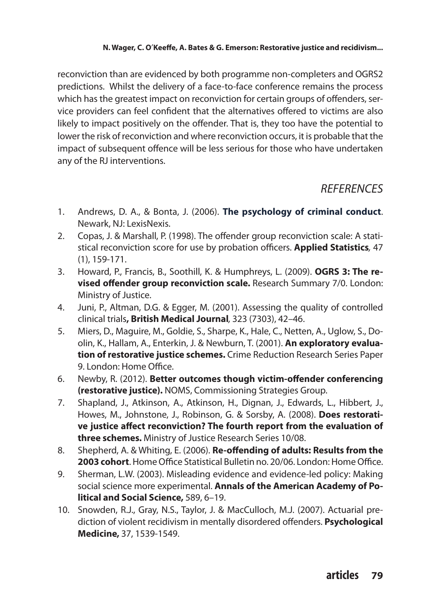reconviction than are evidenced by both programme non-completers and OGRS2 predictions. Whilst the delivery of a face-to-face conference remains the process which has the greatest impact on reconviction for certain groups of offenders, service providers can feel confident that the alternatives offered to victims are also likely to impact positively on the offender. That is, they too have the potential to lower the risk of reconviction and where reconviction occurs, it is probable that the impact of subsequent offence will be less serious for those who have undertaken any of the RJ interventions.

# *REFERENCES*

- 1. Andrews, D. A., & Bonta, J. (2006). **The psychology of criminal conduct**. Newark, NJ: LexisNexis.
- 2. Copas, J. & Marshall, P. (1998). The offender group reconviction scale: A statistical reconviction score for use by probation officers. **Applied Statistics***,* 47 (1), 159-171.
- 3. Howard, P., Francis, B., Soothill, K. & Humphreys, L. (2009). **OGRS 3: The revised offender group reconviction scale.** Research Summary 7/0. London: Ministry of Justice.
- 4. Juni, P., Altman, D.G. & Egger, M. (2001). Assessing the quality of controlled clinical trials**, British Medical Journal***,* 323 (7303), 42–46.
- 5. Miers, D., Maguire, M., Goldie, S., Sharpe, K., Hale, C., Netten, A., Uglow, S., Doolin, K., Hallam, A., Enterkin, J. & Newburn, T. (2001). **An exploratory evaluation of restorative justice schemes.** Crime Reduction Research Series Paper 9. London: Home Office.
- 6. Newby, R. (2012). **Better outcomes though victim-offender conferencing (restorative justice).** NOMS, Commissioning Strategies Group.
- 7. Shapland, J., Atkinson, A., Atkinson, H., Dignan, J., Edwards, L., Hibbert, J., Howes, M., Johnstone, J., Robinson, G. & Sorsby, A. (2008). **Does restorative justice affect reconviction? The fourth report from the evaluation of three schemes.** Ministry of Justice Research Series 10/08.
- 8. Shepherd, A. & Whiting, E. (2006). **Re-offending of adults: Results from the 2003 cohort**. Home Office Statistical Bulletin no. 20/06. London: Home Office.
- 9. Sherman, L.W. (2003). Misleading evidence and evidence-led policy: Making social science more experimental. **Annals of the American Academy of Political and Social Science,** 589, 6–19.
- 10. Snowden, R.J., Gray, N.S., Taylor, J. & MacCulloch, M.J. (2007). Actuarial prediction of violent recidivism in mentally disordered offenders. **Psychological Medicine,** 37, 1539-1549.